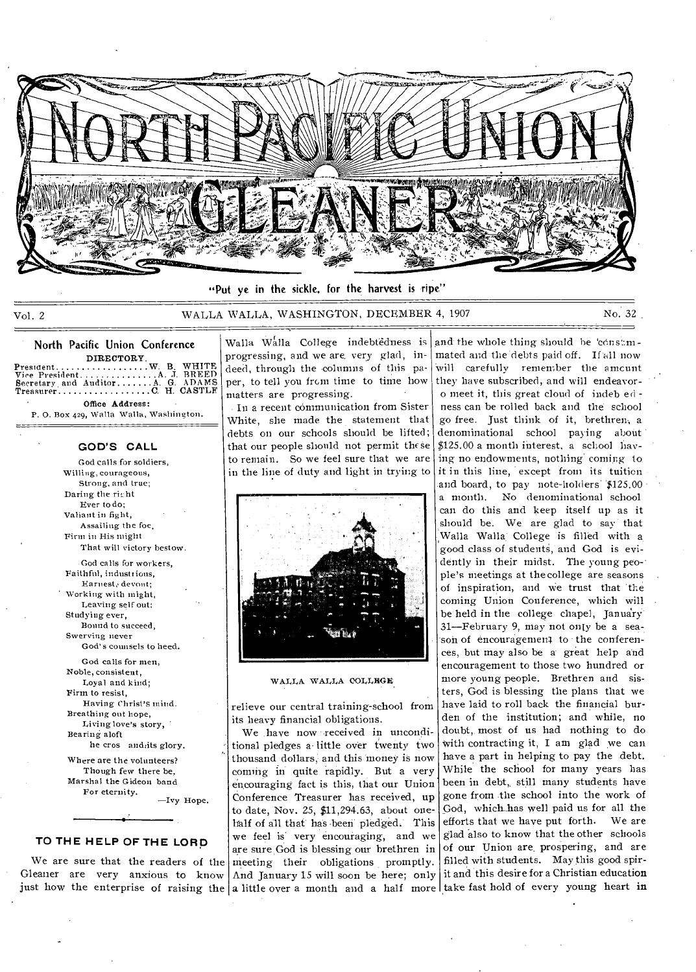

"Put ye in the sickle, for the harvest is ripe"

Vol. 2 WALLA WALLA., WASHINGTON, DECEMBER 4, 1907 No. 32

North Pacific Union Conference

DIRECTORY President W. B. WHITE Vice President A J. BREED Secretary, and Auditor A. G. ADAMS Treasurer C H. CASTLE Office Address:

P. 0. Box 429, Walla Walla, Washington. 드드리다

**GOD'S CALL** 

God calls for soldiers, Willing, courageous, Strong, and true; Daring the rirht Ever to do; Valiant in fight, Assailing the foe, Firm in His might That will victory bestow.

God calls for workers, Faithful, industi ions, Earnest; devout; Working with might, Leaving self out: Studying ever, Bound to succeed, Swerving never God's counsels to heed.

God calls for men, Noble, consistent, Loyal and kind; Firm to resist, Having Christ's mind. Breathing out hope, Living love's story, Bearing aloft he cros andiits glory.

Where are the volunteers? Though few there be, Marshal the Gideon band For eternity. —Ivy Hope.

**TO THE HELP OF THE** LORD

We are sure that the readers of the Gleaner are very anxious to know just how the enterprise of raising the

• Walla Walla College indebtedness is progressing, and we are, very glad, indeed, through the columns of this paper, to tell you from time to time how matters are progressing.

In a recent communication from Sister White, she made the statement that debts on our schools should be lifted; that our people should not permit these to remain. So we feel sure that we are in the line of duty and light in trying to



WALLA WALLA COLLEGE

relieve our central training-school from its heavy financial obligations.

a little over a month and a half more take fast hold of every young heart in We have now received in unconditional pledges a. little over twenty two thousand dollars; and this money is now coming in quite rapidly. But a very encouraging fact is this, that our Union Conference Treasurer has received, up to date, Nov. 25, \$11,294.63, about onehalf of all that has -beeri pledged. This we feel is' very encouraging, and we are sure God is blessing our brethren in meeting their obligations promptly. And January 15 will soon be here; only

and the whole thing should be 'cons:mmated and the debts paid off. If all now will carefully remember the amcunt they have subscribed, and will endeavoro meet it, this great cloud of indeb ed ness can be rolled back and the school go free. Just think of it, brethren, a denominational school paying about \$125.00 a month interest, a school having no endowments, nothing coming to it in this line, except from its tuition and board, to pay note-holders \$125.00 a month. No denominational school can do this and keep itself up as it should be. We are glad to say that Walla Walla College is filled with a good class of studentg, and God is evidently in their midst. The young peo- ple's meetings at the college are seasons of inspiration, and we trust that the coming Union Conference, which will be held in the college chapel, January 31—February 9, may not only be a season of encouragemen; to the conferences, but may also be a great help and encouragement to those two hundred or more young people. Brethren and sisters, God is blessing the plans that we have laid to roll back the financial burden of the institution; and while, no doubt, most of us had nothing to do with contracting it, I am glad we can have a part in helping to pay the debt. While the school for many years has been in debt, still many students have gone from the school into the work of God, which..has well paid us for all the efforts that we have put forth. We are glad 'also to know that the other schools of our Union are\_ prospering, and are filled with students. May this good spirit and this desire for a Christian education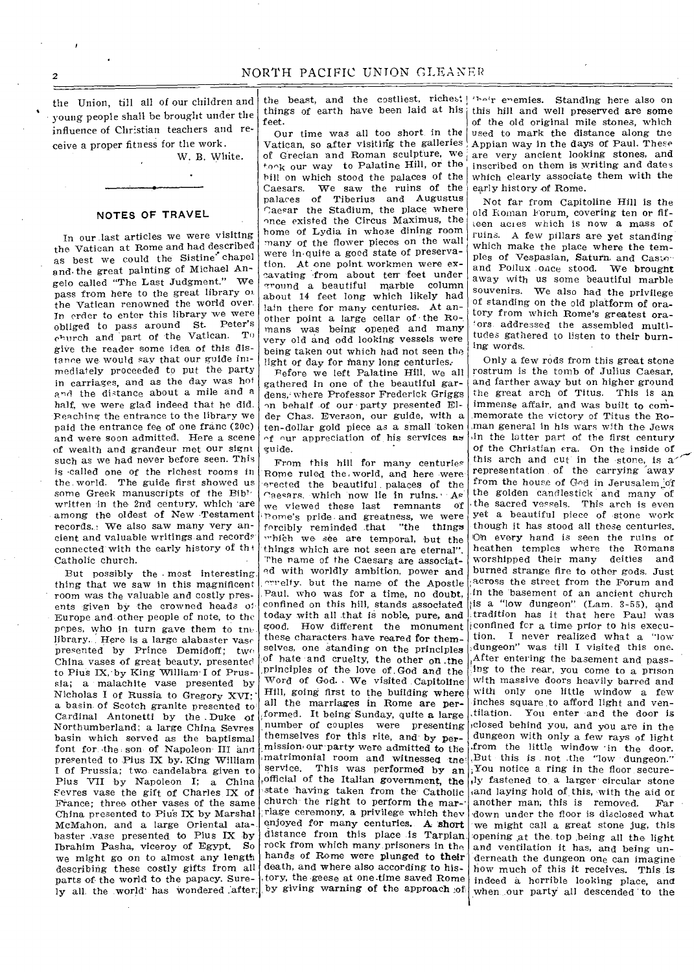the Union, till all of our children and young people shall be brought under the influence of Christian teachers and receive a proper fitness for the work.

W. B. White.

#### **NOTES OF TRAVEL**

In our last articles we were visiting the Vatican at Rome and had described as best we could the Sistine' chapel and• the great painting of Michael Angelo called "The Last Judgment." We pass from here to the great library oi the Vatican renowned the world over. In order to enter this library we were obliged to pass around St. Peter's church and part of the Vatican. To give the reader some idea of this distance we would say that our guide immediately proceeded to put the party in carriages, and as the day was hot and the distance about a mile and a half, we were glad indeed that he did. Reaching the entrance to the library we paid the entrance fee of one franc (20c) and were soon admitted. Here a scene of wealth and grandeur met our signs such as we had never before seen. This is 'called one of the richest rooms in the. world. The guide first showed us some Greek manuscripts of the Bib' written in the 2nd century, which 'are among the oldest of New Testament records. • We also saw many very ancient and valuable writings and records connected with the early history of the Catholic church.

But possibly the . most interesting thing that we saw in this magnificent room was the valuable and costly presents given by the crowned heads 01 Europe and other people of note, to the popes, who in turn gave them to tne library. Here is a large alabaster vase presented by Prince Demidoff; two China vases of great beauty, presented to Pius IX, by King William' I of Prussia; a malachite vase presented by Nicholas I of Russia to Gregory XVI; a basin. of Scotch granite presented to Cardinal Antonetti by the .Duke of Northumberland; a large China Sevres basin which served as the baptismal font for the son of Napoleon III and presented to Pius IX by. King William I of Prussia; two candelabra given to Pius VII by Napoleon I; a China Fevres vase the gift of Charles IX of France; three other vases of the same China presented to Piu's IX by Marshal McMahon, and a large Oriental atabaster :vase presented to Pius IX by Ibrahim Pasha, viceroy of Egypt. So we might go on to almost any length describing these costly gifts from all parts of the world to the papacy. Surely all the world has wondered after.

things of earth have been laid at his feet.

Our time was all too short in the Vatican, so after visiting the galleries of Grecian and Roman sculpture, we  $t_{0}$  our way to Palatine Hill, or the bill on which stood the palaces of the Caesars. We saw the ruins of the palaces of Tiberius and Augustus Caesar the Stadium, the place where once existed the Circus Maximus, the home of Lydia in whose dining room many of the flower pieces on the wall were in-quite a good state of preservation. At one point workmen were excavating from about terr feet under g•round a beautiful marble column about 14 feet long which likely had lain there for many centuries. At another point a large cellar of the Romans was being opened and many very old and odd looking vessels were being taken out which had not seen the light of day for many long centuries.

Before we left Palatine Hill, we all gathered in one of the beautiful gardens, where Professor Frederick Griggs on behalf of our • party presented Elder Chas. Everson, our guide, with a ten-dollar gold piece *as* a small token  $\gamma$  our appreciation of his services as guide.

From this hill for many centuries Rome ruled the world, and here were erected the beautiful, palaces of the Caesars, which now lie in ruins.  $A<sup>s</sup>$ <br>we viewed these last remnants of we viewed these last remnants home's pride and greatness, we were forcibly reminded .that "the things which we see are temporal, but the things which are not seen are eternal". The name of the Caesars are associated with worldly ambition, power and errelty, but the name of the Apostle Paul. who was for a time, no doubt. confined on this hill, stands associated today with all that is noble, pure, and good. How different the monument these characters have reared for themselves, one standing on the principles of hate and cruelty, the other on .the principles of the love of God and the Word of God.. We visited Capitoline Hill, going first to the building where all the marriages in Rome are performed. It being Sunday, quite a large number of couples were presenting themselves for this rite, and by permission•our party were admitted to the matrimonial room and witnessed tne' service. This was performed by an ,official of the Italian government, the state having taken from the Catholic church the right to perform the marriage ceremony, a privilege which they enjoyed for many centuries. A short distance from this place is Tarpian rock from which many prisoners in the hands of Rome were plunged to their death, and where also according to history, the geese at one.time saved Rome by giving warning of the approach of

the beast, and the costliest, riches: 'heir enemies. Standing here also on this hill and well preserved are some of the old original mile stones, which used to mark the distance along the Appian way in the days of Paul. These are very ancient looking stones, and inscribed on them is writing and dates which clearly associate them with the early history of Rome.

> Not far from Capitoline Hill is the old Roman Forum, covering ten or fifteen acres which is now a mass of ruins. A few pillars are yet standing which make the place where the temples of Vespasian, Saturn and Casto-and Pollux once stood. We brought away with us some beautiful marble souvenirs. We also had the privilege of standing on the old platform of oratory from which Rome's greatest ora- 'ors addressed the assembled multitudes gathered to listen to their burning words.

Only a few rods from this great stone rostrum is the tomb of Julius Caesar, and farther away but on higher ground the great arch of Titus. This is an immense affair, and was built to commemorate the victory of Titus the Roman general in his wars with the Jews ,in the latter part of the first century of the Christian era. On the inside of this arch and cut in the stone, is a representation of the carrying 'away from the house of God in Jerusalem of the golden candlestick and many of the sacred vessels. This arch is even yet a beautiful piece of stone work though it has stood all these centuries. 10h every hand is seen the ruins or heathen temples where the Romans<br>worshipped their many deities and worshipped their many burned strange fire to other gods. Just across the street from the Forum and in the basement of an ancient church ;is a "low dungeon" (Lam. 3-55), and tradition has it that here Paul was confined fcr a time prior to his execution. I never realized what a "low .dungeon" was till I visited this one. After entering the basement and passing to the rear, you come to a prison with massive doors heavily barred and with only one little window a few inches square to afford light and ventilation. You enter and the door is ,closed behind you, and you are in the dungeon with only a few rays of light .from the little window 'in the door. ,But this is not ,the "low dungeon." ;You notice a ring in the floor secure<sup>s</sup> ly fastened to a larger circular stone and laying hold of this, with the aid or<br>another man, this is removed. Far another man; this is removed. 'down under the floor is disclosed what we might call a great stone jug, this opening ,at the, top ,being all the light and ventilation it has, and being underneath the dungeon one can imagine how much of this it receives. This is indeed a horrible looking place, and when our party all descended to the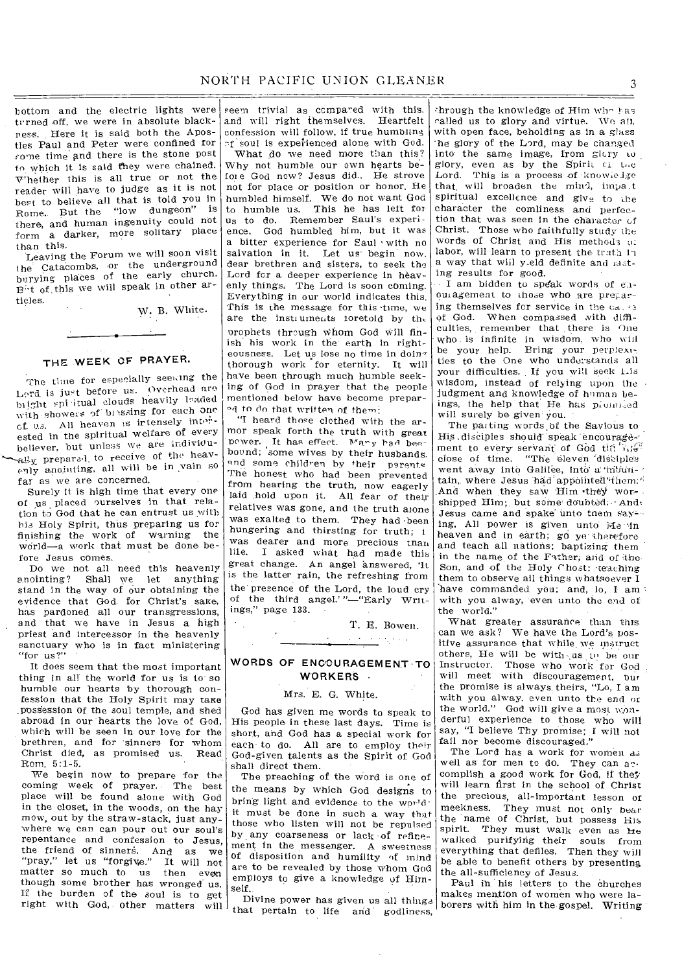bottom and the electric lights were turned off, we were in absolute blackness. Here it is said both the Apostles Paul and Peter were confined for some time and there is the stone post to which it is said they were chained. Whether this is all true or not the reader will have to judge as it is not best to believe all that is told you in Rome. But the "low dungeon" there, and human ingenuity could not form a darker, more solitary place than this.

Leaving the Forum we will soon visit the Catacombs, or the underground burying places of the early church. P-t of, this we will speak in other articles.

W, B. White.

# THE WEEK OF PRAYER.

The time for especially seeking the Lord, is just before us. Overhead are biight spi itual clouds heavily loaded with showers of bissing for each one cf, us. All heaven Is intensely interested in the spiritual welfare of every believer, but unless we are individu-  $\text{val}_{\mathbf{X}}$  prepared, to receive of the heavenly anointing, all will be in vain so far as we are concerned.

Surely it is high time that every one of us placed ourselves in that relation to God that he can entrust us with his Holy Spirit, thus preparing us for finishing the work of warning the world—a work that must be done before Jesus comes.

Do we not all need this heavenly anointing? Shall we let anything stand in the way of our obtaining the evidence that God. for Christ's sake, has pardoned all our transgressions, and that we have in Jesus a high priest and intercessor in the heavenly sanctuary who is in fact ministering "for us?"

It does seem that the most important thing in all the world for us is to so humble our hearts by thorough confession that the Holy Spirit may take ,possession of the soul temple, and shed abroad in our hearts the love of God, which will be seen in our love for the brethren, and for 'sinners for whom Christ died, as promised us. Read Rom. 5:1-5.

We begin now to prepare for the coming week of prayer. The best place will be found alone with God in the closet, in the woods, on the hay mow, out by the straw-stack, just anywhere we can can pour out our soul's repentance and confession to Jesus, the friend of sinners. And as we "pray," let us "forgive." It will not matter so much to us then even though some brother has wronged us. If the burden of the soul is to get right with God, other matters will

seem trivial as compared with this. and will right themselves. Heartfelt confession will follow, if true humbling of soul is experienced alone with God. What do we need more than this? Why not humble our own hearts before God now? Jesus did.. He strove not for place or position or honor. He humbled himself. We do not want God to humble us. This he has left for us to do. Remember Saul's experience. God humbled him, but it was

a bitter experience for Saul with no salvation in it. Let us begin now, dear brethren and sisters, to seek the Lord for a deeper experience in heavenly things: The Lord is soon coming. Everything in our world indicates this. This is the message for this time, we are the instruments foretold by the prophets through whom God will finish his work in the earth in righteousness. Let us lose no time in doin $\tau$ thorough work for eternity. It will have been through much humble seeking of God in prayer that the people mentioned below have become prepar mentioned below have become<br>ed to do that written of them:

"I heard those clothed with the armor speak forth the truth with great power. It has effect. Many had beebound; some wives by their husbands. and some children by their parents The honest who had been prevented from hearing the truth, now eagerly laid hold upon it. All fear of their relatives was gone, and the truth alone was exalted to them. They had been hungering and thirsting for truth; i was dearer and more precious than hie. I asked what had made this great change. An angel answered, 'It is the latter rain, the refreshing from the presence of the Lord, the loud cry of the third angel.' "—"Early Writings," page 133. •

> T. E. Bowen. والمتهاج والمحالي

### WORDS OF ENCOURAGEMENT-TO WORKERS .

#### Mrs. E. G. White.

God has given me words to speak to His people in these last days. Time is short, and God has a special work for each to do. All are to employ their God-given talents as the Spirit of God shall direct them.

The preaching of the word is one of the means by which God designs to bring light and evidence to the world: it must be done in such a way that those who listen will not be repulsed by any coarseness or lack of refinement in the messenger. A sweetness of disposition and humility of mind are to be revealed by those whom God employs to give a knowledge of Himself.

that pertain to life and godliness,

through the knowledge of Him who has called us to glory and virtue. We all, with open face, beholding as in a glass 'he glory of the Lord, may be changed into the same image, from glary to glory, even as by the Spirit ci the Lord. This is a process of knowledge that, will broaden the mind, impa.t spiritual excellence and give to the character the comliness and perfection that was seen in the character of Christ. Those who faithfully study the words of Christ and His methods 01 labor, will learn to present the trath in a way that will y.eld definite and lasting results for good.

• I am bidden to speak words of e.iouragement to those who are preparing themselves for service in the of God. When compassed with difficulties, remember that there is One  $w$ ho. is infinite in wisdom, who  $\overline{w}$ ial be your help. Bring your perplex, ties to the One who understands all your difficulties. If you will seek Lis wisdom, instead of relying upon the judgment and knowledge of human beings, the help that He has promised will surely be given' you.

The parting words of the Savious to His disciples should speak encouragement to every servant of God tilt night close of time. "The eleven disciples went away into Galilee, into a mitiuntain, where Jesus had appointed them." And when they saw Him they worshipped Him; but some doubted: And Jesus came and spake unto tnem say-.. ing, All power is given unto Me in heaven and in earth; go ye therefore and teach all nations; baptizing them in the name of the Father; and of the Son, and of the Holy Chost: teaching them to observe all things whatsoever I have commanded you; and, lo, I am: with you alway, even unto the end of the world."

What greater assurance than this can we ask? We have the Lord's positive assurance that while.we instruct others, He will be with us to be our Instructor. Those who work for God will meet with discouragement, bur the promise is always theirs, "Lo, I am with you alway. even unto the end or the world." God will give a most wonderful experience to those who will say, "I believe Thy promise; I will not fail nor become discouraged."

The Lord has a work for women as well as for men to do. They can  $a_2$ . complish a good work for God, if they will learn first in the school of Christ the precious, all-important lesson of meekness. They must not only bear the name of Christ, but possess His spirit. They must walk even as he walked purifying their souls from everything that defiles. Then they will be able to benefit others by presenting the all-sufficiency of Jesus.

Divine power has given us all things makes mention of women who were la-borers with him in the gospel. Writing Paul in his letters to the churches<br>makes mention of women who were la-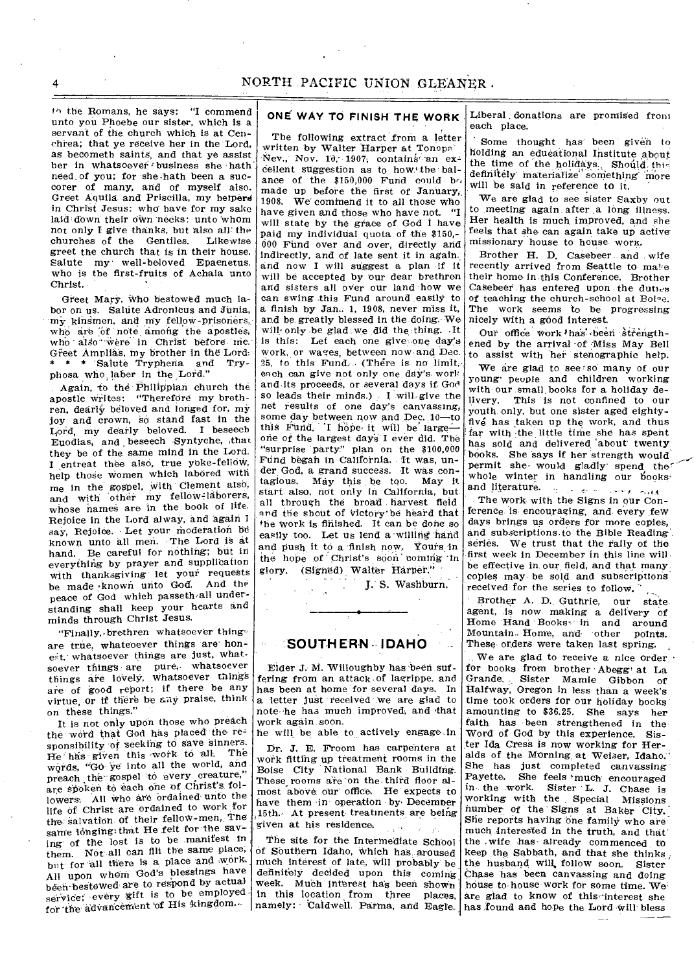th the Romans, he says: "I commend unto you Phoebe our sister, which is a servant of the church which is at Cenchrea; that ye receive her in the Lord, as becometh saints, and that ye assist her in whatsoever business she hath need of you; for she hath been a succorer of many, and of myself also. Greet Aquila and Priscilla, my helpers in Christ Jesus: who have for my sake laid down their own necks: unto whom not only I give thanks, but also all the<br>churches of the Gentiles. Likewise churches of the Gentiles. greet the church that is in their house. Salute my well-beloved Epaenetus. who is the first-fruits of Achaia unto Christ.

Greet Mary. who bestowed much labor on us. Salute Adronicus and Junia, my kinsmen, and my fellow-prisoners, who are of note among the apostles, who also were in Christ before me. Greet Amplias, my brother in the Lord: \* \* Salute Tryphena and Tryphosa who laber in the Lord."

. Again, to the Philippian church the apostle writes: "Therefore my brethren, dearly beloved and longed for, my joy and crown, so stand fast in the Lord, my dearly beloved. I beseech  $E$ uodias, and beseech Syntyche, that they be of the same mind in the Lord. I entreat thee also, true yoke-fellow, help those women which labored with me in the gospel, with Clement also, and with other my fellow-laborers, whose names are in the book of life. Rejoice in the Lord alway, and again I say, Rejoice. Let your moderation be known unto all men. The Lord is at hand. Be careful for nothing; but in everything by prayer and supplication with thanksgiving let your requests be made •known unto God. And the peace of God which passeth all understanding shall keep your hearts and minds through Christ Jesus.

"Finally, brethren whatsoever thingare true, whateoever things are' honest, whatsoever things are just, whatsoever things are pure, whatsoever things are lovely, whatsoever things are of good report; if there be any virtue, or if there be any praise, think on these things."

It is not only upon those who preach the word that God has placed the re sponsibility of seeking to save sinners. He has given this work to all. The words, "Go ye into all the world, and preach the gospel to every creature,' are spoken to each one of Christ's followers. All who are ordained unto the life of Christ are ordained to work for the: Salvation of their fellow-men,. The same longing that He felt for the saving' of the lost is to be .manifest In them. Not all can fill the same place, but for all there is a place and work. All upon whom 'God's blessings have been bestowed are to respond by actual service; every gift is to be employed for the advancement of His kingdom...

# **ONE WAY TO FINISH THE WORK**

The f011owing extract from a letter written by Walter Harper at Tonopa Nev., Nov. 10, 1907; contains an excellent suggestion as to how the balance of the  $$150,000$  Fund could bo made up before the first of January, 1908. We' commend it to all those who

have given and those who have not. "I will state by the grace of God I have paid my individual quota of the \$150,- 000 Fund over and over, directly and indirectly, and of late sent it in again:. and now I will suggest a plan if it will be accepted by our dear brethren and sisters all over our land how we can swing this Fund around easily to finish by Jan.. 1, 1908, never miss it, and be greatly blessed in the doing. We will only be glad we did the thing. It is this: Let each one give-one day's work, or wages, between now• and Dec. 25, to this Fund. (There is no limit, each .can give not only one day's. work and its proceeds, or several days if. God so leads their minds.) I will give the net results of one day's canvassing, some day between now and Dec. 10-to this Fund. 'I hope it will be largeone of the largest days I ever did. The "surprise 'party" plan on the \$100,000 Fund began in California. It was, under God, a grand success. It was contagious. May this be too. May it start also, not only in California, but. all through the broad harvest field and the shout of victory be heard that the work is finished. It can be done so easily too. Let us lend a willing hand and push it to a 'finish now, Yours in the hope of Christ's soon coming in glory. (Signed) Walter Harper."

. • Harper.<br>S. Washburn.

### **SOUTHERN- IDAHO**

 $\mathbf{r}$  .

Elder J. M. Willoughby has been suffering from an attack of lagrippe, and has been at home for several days. In a letter just received we are glad to note-he has much improved, and 'that work again soon.

he will be able to actively engage-in

Dr. J. E. Frooni has carpenters at work fitting up treatment rooms in the Boise City National Bank Building. These rooms are on the third floor almost above our office. He expects to have them in operation by. Decemoer 15th.• At present treatments are being given at his residence.

The site for the Intermediate School of Southern Idaho, Which has aroused much interest of late, will probably be definitely decided upon this coming, week. Much interest ha's been shown in this location from three places, namely: Caldwell. Parma, and Eagle. Liberal, donations are promised from each place.

Some thought has been given to holding an educational Institute about the time of the holidays., Should this definitely materialize something more will be said in reference to it.

We are glad to *see* sister Saxhy out to meeting again after a long illness. Her health is much improved, and she feels that she can again take up activemissionary house to house worK.

Brother H. D. Casebeer and wife recently arrived from Seattle to make their home in this Conference. Brother Casebeer has entered upon the duties of teaching the church-school at Boie. The work seems to be progressing nicely with a good interest.

Our office work has been strengthened by the arrival of Miss May Bell to assist with her stenographic help.

We are glad to see so many of our young' people and children working with our small, books for a holiday delivery. This is not confined to our youth only, but one sister aged eightyfive has taken up the work, and thus far with -the little time she has spent has sold and delivered about twenty books. She says if her strength would permit she would gladly spend the whole winter in handling our books<sup>\*</sup> and literature.  $\alpha$ مداريد الد **Change of College** 

The work with the Signs in our Conference is encouraging, and every few days brings us orders for more copies, and subscriptions.to the Bible Reading' series. We trust that the rally of the first week in December in this line will be effective in our field, and that many copies may be sold and subscriptions received for the series to follow. '

Brother A. D. Guthrie, our state agent, is now making a delivery of Home Hand Books- in and around Mountain- Home, and 'other points. These orders were taken last spring.

We are glad to receive a nice order • for books from brother •Abegg' at La Grande.. Sister Mamie Gibbon of Halfway, Oregon in less than a week's time took orders for our holiday books amounting to \$36.25. She says her faith has been strengthened in the Word of God by this experience. Sister Ida Cress is now working for Heralds of the Morning at Weiser, Idaho. She has just completed canvassing' Payette. She feels 'much encouraged in the work. Sister L. J. Chase is working with the Special Missions number of the Signs at Baker City. She reports having one family who are much interested in the truth, and that' the .wife has- already commenced to keep the Sabbath, and that she thinks , the husband will, follow soon. Sister Chase has been canvassing and doing house to house work for some time. We are glad to know of this interest she has found and hope the Lord Will' bless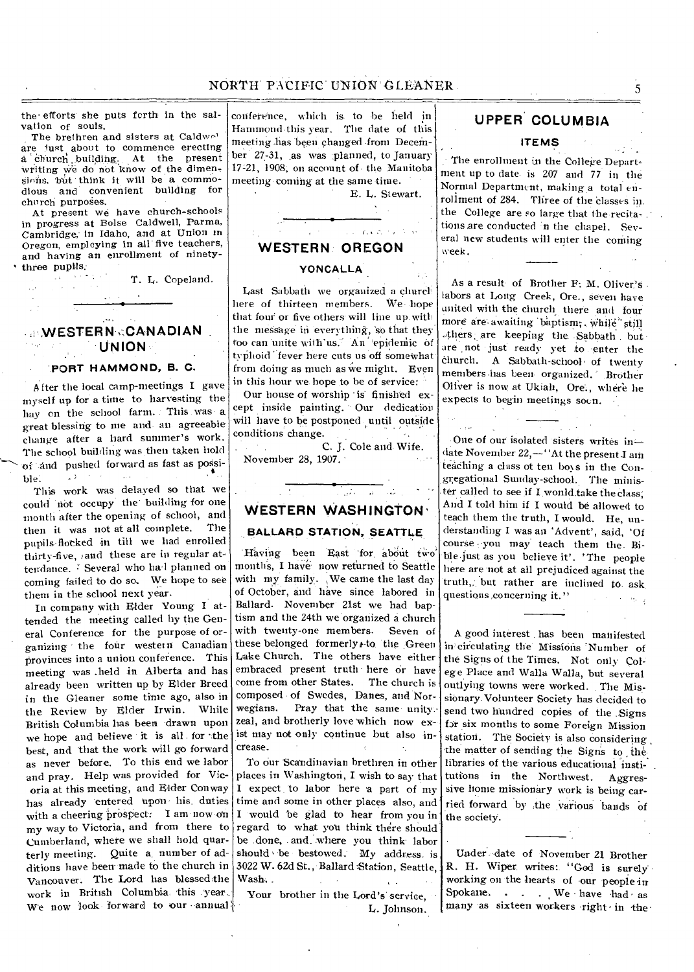# NORTH PACIFIC UNION GLEANER

the• efforts she puts forth in the salvation of souls.

The brethren and sisters at Caldwel are just about to commence erecting a church building. At the present writing we do not know of the dimensions, but think it will be a commo-<br>dious and convenient building for dious and convenient building church purposes.

At present we have church-schools in progress at Boise Caldwell, Parma, Cambridge,' in Idaho, and at Union in Oregon, employing in all five teachers, and having an enrollment of ninetythree pupils:

T. L. Copeland.

# **:NN,ESTERN.,CANADIAN . •UNION**

### 'PORT HAMMOND, B. **C.**

A fter the local camp-meetings I gave myself up for a time to harvesting the hay on the school farm. This was a. great blessing to me and. an agreeable change after a hard summer's work. The school building was then taken hold of and pushed forward as fast as possible.

ble.<br>This work was delayed so that we could riot occupy the' building for one month after the opening of school, and then it was not at all complete. The pupils flocked in till we had enrolled thirty-five, and these are in regular attendance. Several who hal planned on coming failed to do so. We hope to set them in the school next year.

In company with Elder Young I attended the meeting called by the General Conference for the purpose of organizing the four western Canadian provinces into a union conference. This meeting was .held in Alberta and has already been written up by Elder Breed in the Gleaner some time ago, also in the Review by Elder Irwin. While British Columbia has been drawn upon we hope and believe it is all for the best, and that the work will go forward as never before. To this end we labor and pray. Help was provided for Vicoria at this meeting, and Elder Conway has already entered upon- his. duties with a cheering prospect: I am now on my way to Victoria, and from there to Cumberland, where we shall hold quarterly meeting. Quite a, number of additions have been made to the church in Vancouver. The Lord has blessed the work in British Columbia. 'this 'year,. We now look forward to our annual

conference, which is to be held in Hammond this year. The date of this meeting has been changed from December 27-31, as was planned, to January 17-21, 1908, on account of the Manitoba meeting coming at the same time.

E. L. Stewart.

 $1.123333322$ 

### **WESTERN' OREGON**

#### **YONCAL LA**

Last Sabbath we organized a church here of thirteen members. We hope that four or five others will line up with the message in everything, so that they too can unite with'us." An 'epidemic of typhoid 'fever here cuts us off somewhat from doing as much as we might. Even in this hour we hope to be of service:

Our house of worship is finished except inside painting. Our dedication will have to be postponed until outside conditions change.

|                    |  | C. J. Cole and Wife. |  |
|--------------------|--|----------------------|--|
| November 28, 1907. |  |                      |  |

# **WESTERN WASHINGTON' BALLARD STATION, SEATTLE**

 $\mathcal{L}_{\mathcal{A}}$ 

Having been East for about two months, I have now returned to Seattle with my family. We came the last day of October, and have since labored in Ballard. November 21st we had baptism and the 24th we organized a church with twenty-one members. Seven of these belonged formerly, to the Green Lake Church. The others have either embraced present truth here or have come from other States. The church is composed of Swedes, Danes, and Nor-<br>wegians. Pray that the same unity Pray that the same unity. zeal, and brotherly love which now exist may not only continue but also increase.

To our Scandinavian brethren in other places in Washington, I wish to say that I expect to labor here a part of my time and some in other places also, and I would be glad to hear from you in regard to what you think there should be .done, . and..where you think' labor should be bestowed. My address is 3022 W. 62d St., Ballard Station, Seattle, Wash..

Your brother in the Lord's' service, L. Johnson.

# **UPPER' COLUMBIA**

#### **ITEMS**

The enrollment in the College Department up to date. is 207 and 77 in the Normal Department, making a total enrollment of 284. Three of the classes in. the College are so large that the recitations are conducted in the chapel. Several new students will enter the coming week.

As a result of Brother F: M. Oliver's labors at Long Creek, Ore., seven have united with the church there and four more are awaiting 'baptism:, While'still .,thers are keeping the.Sabbath . but are not just ready yet to enter the church. A Sabbath-school of twenty members has been organized. Brother Oliver is now at Ukiah, Ore., where lie expects to begin meetings soon.

One of our isolated sisters writes in date November 22,—"At the present I am teaching a class of ten boss in the Congregational Sunday-school. The minister called to see if I wonld take the class, And I told him if I would be allowed to teach them the truth, I would. He, understanding I was an 'Advent', said, 'Of course you may teach them the. Bible just as you believe it'. 'The people here are 'not at all prejudiced against the truth,: but rather are inclined to. ask questions ,concerning it."

A good interest has been manifested in circulating the Missions Number of the Signs of the Times. Not only colege Place and Walla Walla, but several outlying towns were worked. The Missionary. Volunteer Society has decided to send two hundred copies of the .Signs for six months to some Foreign Mission station. The Society is also considering , the matter of sending the Signs to the libraries of the various educational institutions in the Northwest. Aggressive home missionary work is being carried forward by the various bands of the society.

Under. date of November 21 Brother R. H. Wiper. writes: "God is surely' working on the hearts of our people in Spokane. . . . We have had as many as sixteen workers right in the

5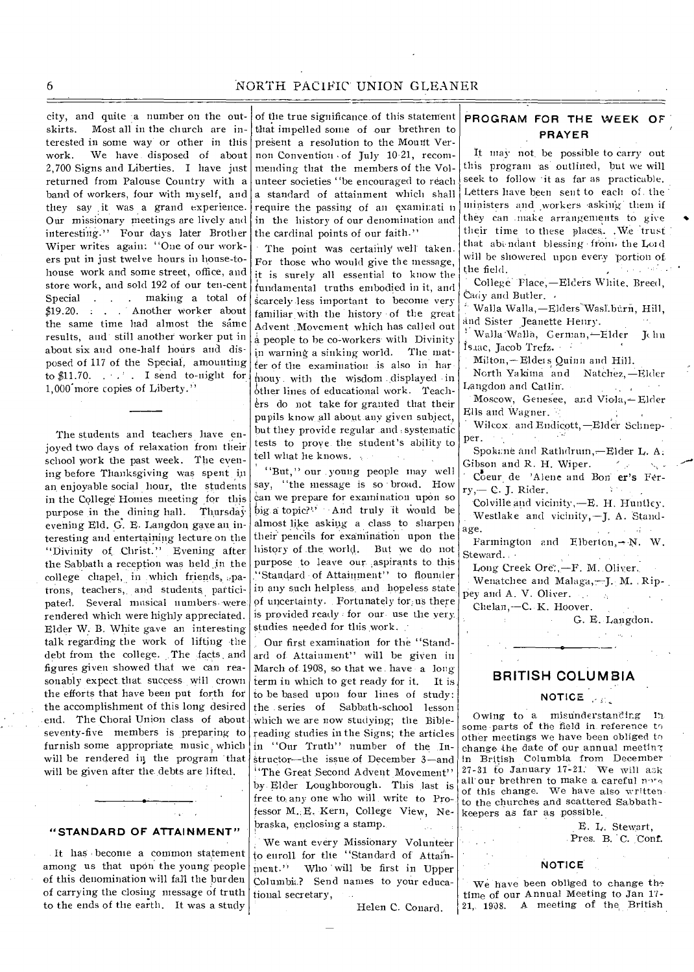### 6 NORTH PACIFIC UNION GLEANER

city, and quite a number on the outskirts. Most all in the church are interested in some way or other in this work. We have disposed of about 2,700 Signs and Liberties. I have just returned from Palouse Country with a band of workers, four with myself, and they say it was a grand experience. Our missionary meetings are lively and interesting." Four days later Brother Wiper writes again: "One of our workers put in just twelve hours in house-tohouse work and some street, office, and store work, and sold 192 of our ten-cent Special . . . making a total of \$19.20. . . Another worker about the same time had almost the same results, and still another worker put in about six and one-half hours and disposed of 117 of the Special, amounting to  $$11.70.$  .  $\therefore$  I send to-night for 1,000'more copies of Liberty."

The students and teachers have enjoyed two days of relaxation from their school work the past week. The evening before Thanksgiving was spent in an enjoyable social hour, the students in the College Homes meeting for this purpose in the dining hall. Thursday evening Eld. G. E. Langdon gave an interesting and entertaining lecture on the "Divinity of, Christ." Evening after the Sabbath a reception was held in the college chapel, in which friends,  $p$ atrons, teachers, and students participated. Several musical numbers- were rendered which were highly appreciated. Elder W. B. White gave an interesting talk regarding the work of lifting the debt from the college. The facts and figures given showed that we can reasonably expect that success will crown the efforts that have been put forth for the accomplishment of this long desired end. The Choral Union class of about seventy-five members is preparing to furnish some appropriate music which will be rendered in the program 'that will be given after the debts are lifted.

#### **"STANDARD OF ATTAINMENT"**

It haS become a common statement among us that upon the young people of this denomination will fall the burden of carrying the closing message of truth to the ends of the earth. It was a study

of the true significance of this statement that impelled some of our brethren to present a resolution to the Mount Vernon Convention • of July 10-21, recommending that the members of the Volunteer societies ''be encouraged to reach a standard of attainment which shall require the passing of an examirati n in the history of our denomination and the cardinal points of our faith."

The point was certainly well taken. For those who would give the message, it is surely all essential to know the fundamental truths embodied in it, and scarcely-less important to become very familiar, with the history of the great Advent .Movement which has called out a people to he co-workers• with Divinity in warning a sinking world. The matter of the examination is also in her mouy. with the wisdom displayed in other lines of educational work. Teachers do not take for granted that their pupils know all about any given subject, but they provide regular and :systematic tests to prove the student's ability to tell what he knows.

"But," our . young people may well say, "the message is so broad. How Can we prepare for examination upon so big a topic?" • And truly it would be almost like asking a class to sharpen their' pencils for examination upon the history of .the world. But we do not purpose to leave our aspirants to this ''Standard of Attainment" to flounder in any such helpless. and hopeless state of uncertainty. Fortunately for;us there is provided ready for our use the very. studies needed for tins work.

Our first examination for the "Standard of Attainment" will be given in March of 1908, so that we have a long term in which to get ready for it. It is to be based upon four lines of study: the .series of Sabbath-school lesson which we are now studying; the Biblereading studies in the Signs; the articles in "Our Truth" number of the Instructor—the issue of December 3—and <sup>1</sup>'The Great Second Advent Movement'' by Elder Loughborough. This last is free to: any one who will write to Professor M.;E. Kern, College View, Nebraska, enclosing a stamp.

We want every Missionary Volunteer to enroll for the "Standard of Attainment." Who will be first in Upper Columbia? Send names to your educational secretary,

#### Helen C. Conard.

### **PROGRAM FOR THE WEEK OF PRAYER**

It may not, be possible to carry out this program as outlined, but we will seek to follow 'it as far as practicable. Letters have been sent to each of. the' ministers and workers asking them if they can make arrangements to give their time to these places. . We trust that abundant blessing from the Lord will be showered upon every -portion of the field. أعجب والمرا

College Tlace,—Elders White, Breed, Cady and Butler.

 $^L$  Walla Walla,—Elders Wasl.burn, Hill, and Sister Jeanette Henry.

' Walla Walla, German,--Elder - Ichn Isaac, Jacob Trefz. •

Milton,-Elders Quinn and Hill.

North Yakima and Natchez,—Elder Langdon and Catlin. Moscow, Genesee, and Viola,—Elder

Ells and Wagner.

Wilcox. and Endicott, -Elder Schnepper.

Spoki:ne and Rathdrum,—Elder L. A; Gibson and R. H. Wiper. and provide

Coeur de 'Alene and Bon er's Ferry,— C. J. Rider.  $\Delta \sim 1$ 

'Colville and vicinity,--E. H. Huntley. Westlake and vicinity,—J. A. Standage.

re.<br>Farmington and Elberton,-N. W. Steward.

Long Creek Ore;,-F. M. Oliver.

Wenatchee and Malaga,-J. M. Rippey and A. V. Oliver.  $\mathcal{D}_\mathrm{L}$ 

Chelan,—C. K. Hoover.<br>
G. E. Langdon.

### **BRITISH COLUMBIA**

# **NOTICE ."**

Owing to a misunderstanding  $12$ some parts of the field in reference to other meetings we have been obliged to change the date of our annual meeting in British Columbia from December  $27-31$  to January 17-21. We will ask all our brethren to make a careful note of this change. We have also written to the churches and scattered Sabbathkeepers as far as possible.

> E. L. Stewart, Pres. B. C. Conf.

### **NOTICE**

We have been obliged to change the time of our Annual Meeting to Jan 17-21, 1908. A meeting of the British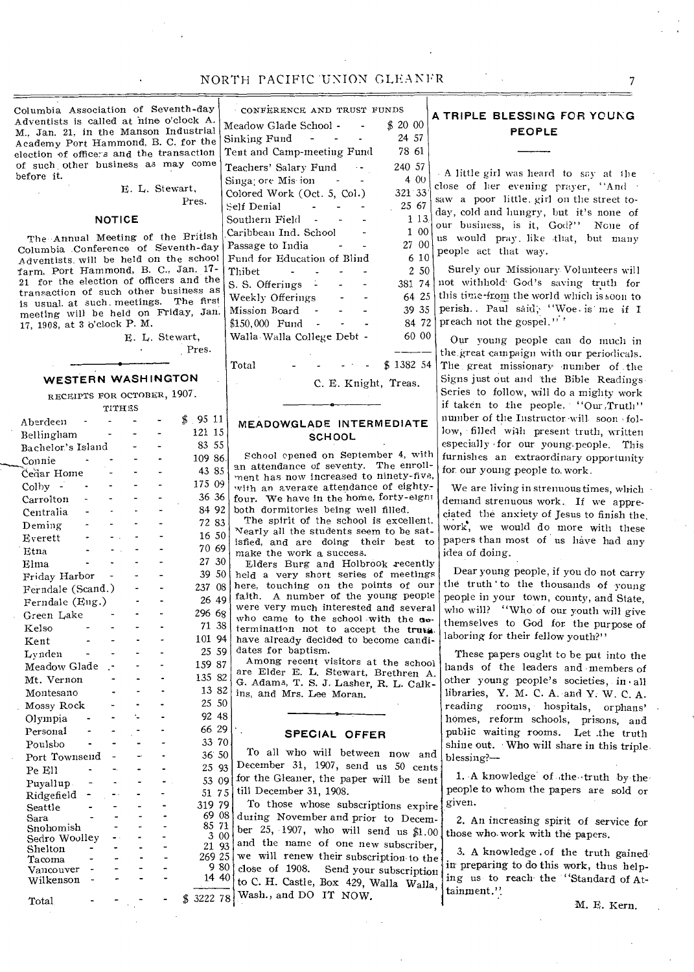# NORTH PACIFIC UNION GLEANFR 7

Columbia Association of Seventh-day Adventists is called at nine o'clock A. M., Jan. 21, in the Manson Industrial Academy Port Hammond, B. C. for the election of office*s* and the transaction of such other business *as* may come before it.

> E. L. Stewart, Pres.

#### **NOTICE**

The Annual Meeting of the British Columbia Conference of Seventh-day Adventists.will be held on the school farm, Port Hammond, B. C., Jan. 17- 21 for the election of officers and the transaction of such other business as is usual. at such. meetings. The first meeting will be held on Friday, Jan. 17, 1908, at 3 o'clock P. M.

> E. I,. Stewart, Pres.

### **WESTERN WASHINGTON**

RECEIPTS FOR OCTOBER, 1907.

|                   | TITHES |  |                       |
|-------------------|--------|--|-----------------------|
| Aberdeen          |        |  | \$<br>- 95<br>11      |
| Bellingham        |        |  | 121<br>15             |
| Bachelor's Island |        |  | 55<br>83              |
| Connie            |        |  | 109 86.               |
| Cedar Home        |        |  | 43 85                 |
| Colby             |        |  | 175 09                |
| Carrolton         |        |  | 36 36                 |
| Centralia         |        |  | 84 92                 |
| Deming            |        |  | 72 83                 |
| Everett           |        |  | 16 50                 |
| Etna              |        |  | 70 69                 |
| Elma              |        |  | 27<br>30              |
| Friday Harbor     |        |  | 39<br>50              |
| Ferndale (Scand.) |        |  | 08<br>237             |
| Ferndale (Eng.)   |        |  | 26<br>49              |
| Green Lake        |        |  | 296<br>68             |
| Kelso             |        |  | 38<br>71.             |
| Kent              |        |  | 101<br>94             |
| Lynden            |        |  | 59<br>25              |
| Meadow Glade      |        |  | 159<br>87             |
| Mt. Vernon        |        |  | 135<br>82             |
| Montesano         |        |  | 13 <sup>°</sup><br>82 |
| Mossy Rock        |        |  | 25<br>50              |
| Olympia           |        |  | 92<br>48              |
| Personal          |        |  | 66<br>29              |
| Poulsbo           |        |  | 33<br>70              |
| Port Townsend     |        |  | 36 <sup>°</sup><br>50 |
| Pe Ell            |        |  | 25<br>93              |
| Puyallup.         |        |  | 53<br>09              |
| Ridgefield        |        |  | 51.<br>75             |
| Seattle           |        |  | 319 79                |
| Sara              |        |  | 08<br>69.             |
| Snohomish         |        |  | 71<br>85              |
| Sedro Woolley     |        |  | 3<br>00<br>21<br>93   |
| Shelton<br>Tacoma |        |  | 269 25                |
| Vancouver         |        |  | 9 80                  |
| Wilkenson         |        |  | 14 40                 |
| Total             |        |  | 3222 78<br>\$         |

\$ 20 00 24 57 78 61 240 57 381 74 60 00 -4- Total - - - -  $\frac{1}{2}$  1382 54 CONFERENCE AND TRUST FUNDS Meadow Glade School -Sinking Fund -Tent and Camp-meeting Fund Teachers' Salary Fund --Singa; ore Mis ion -Colored Work (Oct. 5, Col.) Self Denial - -Southern Field Caribbean Ind. School Passage to India Fund for Education of Blind Thibet - - - - S. S. Offerings -Weekly Offerings Mission Board \$150,000 Fund - Walla Walla College Debt -

C. E. Knight, Treas.

### **MEADOW.GLADE INTERMEDIATE SCHOOL**

School opened on September 4, with an attendance of seventy. The enrollment has now increased to ninety-five, with an average attendance of eightyfour. We have in the home, forty-eignt both dormitories being well filled.

The spirit of the school is excellent. Nearly all the students seem to be satisfied, and are doing their best to make the work a success.

30  $50$ 08 49 68 38 94 59 Elders Burg and Holbrook recently held a very short series of meetings here, touching on the points of our faith. A number of the young people were very much interested and several who came to the school with the  $a_{\theta}$ termination not to accept the truta. have already decided to become candidates for baptism.

Among recent visitors at the school are Elder E. L. Stewart, Brethren A. G. Adams, T. S. J. Lasher, R. L. Calkins, and Mrs. Lee Moran.

### **SPECIAL OFFER**

19 0 To all who will between now and December 31, 1907, send us 50 cents for the Gleaner, the paper will be sent till December 31, 1908.

319 79 08 71 00 93 25  $80$ 40 To those whose subscriptions expire during November and prior to December 25, 1907, who will send us \$1.00 and the name of one new subscriber, we will renew their subscription• to the close of 1908. Send your subscription to C. H. Castle, Box 429, Walla Walla, Wash., and DO IT NOW.

# **A TRIPLE BLESSING FOR YOUNG PEOPLE**

4 00 321 33' 25 67 1 13 1 00 27 00 6 10 A little girl was heard to say at the close of her evening prayer, "And saw a poor little. girl on the street today, cold and hungry, but it's none of our business, is it, God?" None of us would pray, like that, but many people act that way.

2 50 64 25 39 35 84 72 Surely our Missionary Volunteers will not withhold God's saving truth for this time-from the world which is soon to perish.. Paul said; "Woe. is' me if I preach not the gospel." '

> Our young people can do much in the great campaign with our periodicals. The great missionary number of the Signs just out and 'the Bible Readings Series to follow, will do a mighty work if taken to the people. "Our ,Truth" number of the Instructor 'will soon , follow, filled wilh present truth, written especially for our young people. This furnishes an extraordinary opportunity for our young people to. work.

We are living in strenuous times, which demand strenuous work. If we appreciated the anxiety of Jesus to finish the, work, we would do more with these papers than most of us have had any idea of doing.

Dear young people, if you do not carry the truth to the thousands of young people in your town, county, and State, who will? "Who of our youth will give themselves to God for the purpose of laboring for their fellow youth?"

These papers ought to be put into the hands of the leaders and 'members of other young people's societies, in all libraries, Y. M. C. A. and Y. W. C. A. reading rooms, hospitals, orphans' homes, reform schools, prisons, and public waiting rooms. Let .the truth shine out. Who will share in this triple. blessing?-

1. A knowledge of the truth by the people to whom the papers are sold or given.

2. An increasing spirit of service for those who. work with the papers.

3. A knowledge .of the truth gained. in preparing to do this work, thus helping us to reach. the "Standard of Attainment.

M. E. Kern.